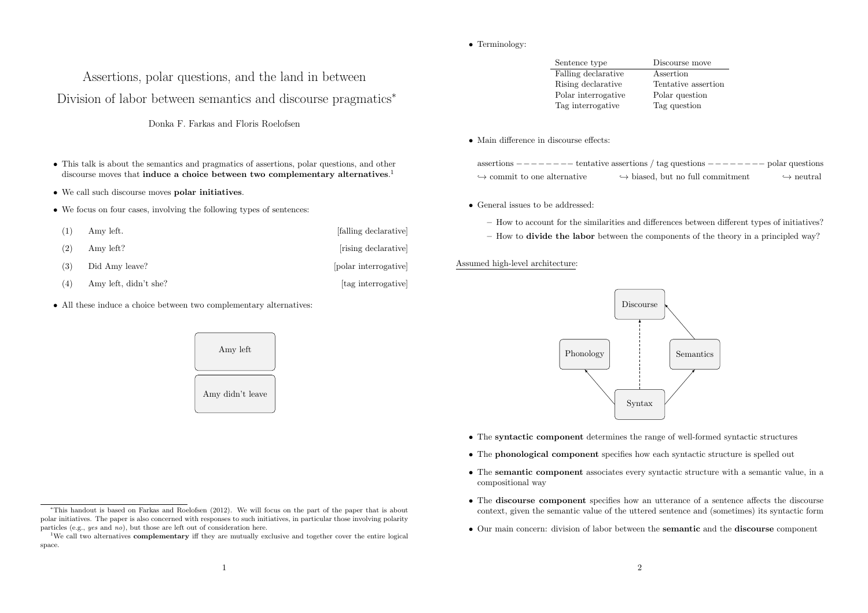# *•* Terminology:

# Assertions, polar questions, and the land in between Division of labor between semantics and discourse pragmatics<sup>∗</sup>

Donka F. Farkas and Floris Roelofsen

- This talk is about the semantics and pragmatics of assertions, polar questions, and other discourse moves that induce a choice between two complementary alternatives.<sup>1</sup>
- *•* We call such discourse moves polar initiatives.
- We focus on four cases, involving the following types of sentences:

| (1) | Amy left.             | [falling declarative] |
|-----|-----------------------|-----------------------|
| (2) | Amy left?             | [rising declarative]  |
| (3) | Did Amy leave?        | [polar interrogative] |
| (4) | Amy left, didn't she? | [tag interrogative]   |

*•* All these induce a choice between two complementary alternatives:



| Sentence type       | Discourse move      |
|---------------------|---------------------|
| Falling declarative | Assertion           |
| Rising declarative  | Tentative assertion |
| Polar interrogative | Polar question      |
| Tag interrogative   | Tag question        |

#### *•* Main difference in discourse effects:

|                                             | assertions $------$ tentative assertions / tag questions $------$ polar questions |                           |
|---------------------------------------------|-----------------------------------------------------------------------------------|---------------------------|
| $\hookrightarrow$ commit to one alternative | $\hookrightarrow$ biased, but no full commitment                                  | $\hookrightarrow$ neutral |

*•* General issues to be addressed:

- How to account for the similarities and differences between different types of initiatives?
- How to divide the labor between the components of the theory in a principled way?

# Assumed high-level architecture:



- *•* The syntactic component determines the range of well-formed syntactic structures
- The phonological component specifies how each syntactic structure is spelled out
- The semantic component associates every syntactic structure with a semantic value, in a compositional way
- The **discourse component** specifies how an utterance of a sentence affects the discourse context, given the semantic value of the uttered sentence and (sometimes) its syntactic form
- Our main concern: division of labor between the **semantic** and the **discourse** component

<sup>∗</sup>This handout is based on Farkas and Roelofsen (2012). We will focus on the part of the paper that is about polar initiatives. The paper is also concerned with responses to such initiatives, in particular those involving polarity particles (e.g., *yes* and *no*), but those are left out of consideration here.

<sup>&</sup>lt;sup>1</sup>We call two alternatives **complementary** iff they are mutually exclusive and together cover the entire logical space.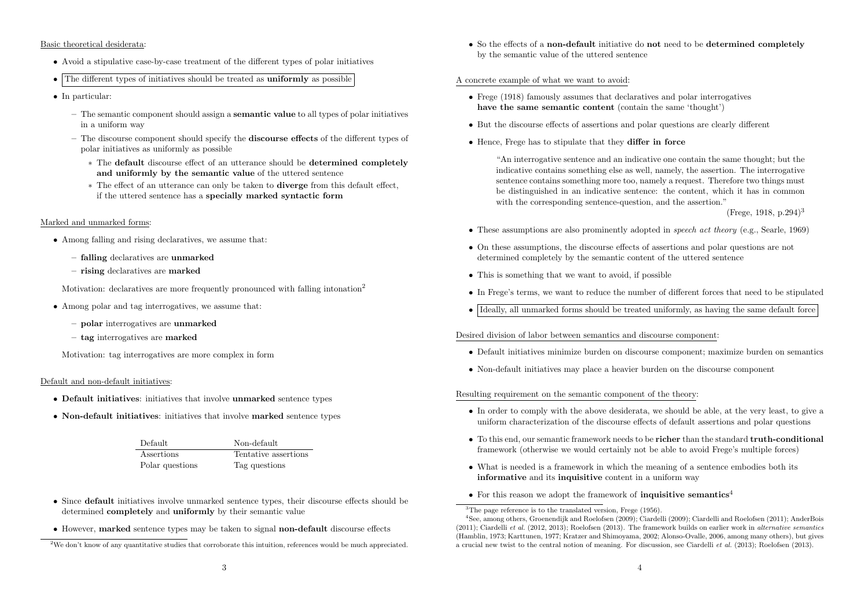#### Basic theoretical desiderata:

- Avoid a stipulative case-by-case treatment of the different types of polar initiatives
- The different types of initiatives should be treated as **uniformly** as possible
- *•* In particular:
	- $-$  The semantic component should assign a **semantic value** to all types of polar initiatives in a uniform way
	- $-$  The discourse component should specify the **discourse effects** of the different types of polar initiatives as uniformly as possible
		- ∗ The default discourse effect of an utterance should be determined completely and uniformly by the semantic value of the uttered sentence
		- ∗ The effect of an utterance can only be taken to diverge from this default effect, if the uttered sentence has a specially marked syntactic form

## Marked and unmarked forms:

- *•* Among falling and rising declaratives, we assume that:
	- falling declaratives are unmarked
	- rising declaratives are marked

Motivation: declaratives are more frequently pronounced with falling intonation<sup>2</sup>

- Among polar and tag interrogatives, we assume that:
	- polar interrogatives are unmarked
	- tag interrogatives are marked

Motivation: tag interrogatives are more complex in form

## Default and non-default initiatives:

- Default initiatives: initiatives that involve unmarked sentence types
- Non-default initiatives: initiatives that involve marked sentence types

| Default         | Non-default          |
|-----------------|----------------------|
| Assertions      | Tentative assertions |
| Polar questions | Tag questions        |

- Since default initiatives involve unmarked sentence types, their discourse effects should be determined completely and uniformly by their semantic value
- However, marked sentence types may be taken to signal non-default discourse effects

• So the effects of a non-default initiative do not need to be determined completely by the semantic value of the uttered sentence

## A concrete example of what we want to avoid:

- *•* Frege (1918) famously assumes that declaratives and polar interrogatives have the same semantic content (contain the same 'thought')
- But the discourse effects of assertions and polar questions are clearly different
- *•* Hence, Frege has to stipulate that they differ in force

"An interrogative sentence and an indicative one contain the same thought; but the indicative contains something else as well, namely, the assertion. The interrogative sentence contains something more too, namely a request. Therefore two things must be distinguished in an indicative sentence: the content, which it has in common with the corresponding sentence-question, and the assertion.<sup>"</sup>

(Frege, 1918, p. 294)<sup>3</sup>

- *•* These assumptions are also prominently adopted in *speech act theory* (e.g., Searle, 1969)
- On these assumptions, the discourse effects of assertions and polar questions are not determined completely by the semantic content of the uttered sentence
- *•* This is something that we want to avoid, if possible
- In Frege's terms, we want to reduce the number of different forces that need to be stipulated
- Ideally, all unmarked forms should be treated uniformly, as having the same default force

# Desired division of labor between semantics and discourse component:

- Default initiatives minimize burden on discourse component; maximize burden on semantics
- *•* Non-default initiatives may place a heavier burden on the discourse component

# Resulting requirement on the semantic component of the theory:

- In order to comply with the above desiderata, we should be able, at the very least, to give a uniform characterization of the discourse effects of default assertions and polar questions
- To this end, our semantic framework needs to be **richer** than the standard **truth-conditional** framework (otherwise we would certainly not be able to avoid Frege's multiple forces)
- What is needed is a framework in which the meaning of a sentence embodies both its informative and its inquisitive content in a uniform way
- For this reason we adopt the framework of **inquisitive semantics**<sup>4</sup>

<sup>2</sup>We don't know of any quantitative studies that corroborate this intuition, references would be much appreciated.

 $3$ The page reference is to the translated version, Frege  $(1956)$ .

<sup>4</sup>See, among others, Groenendijk and Roelofsen (2009); Ciardelli (2009); Ciardelli and Roelofsen (2011); AnderBois (2011); Ciardelli *et al.* (2012, 2013); Roelofsen (2013). The framework builds on earlier work in *alternative semantics* (Hamblin, 1973; Karttunen, 1977; Kratzer and Shimoyama, 2002; Alonso-Ovalle, 2006, among many others), but gives a crucial new twist to the central notion of meaning. For discussion, see Ciardelli *et al.* (2013); Roelofsen (2013).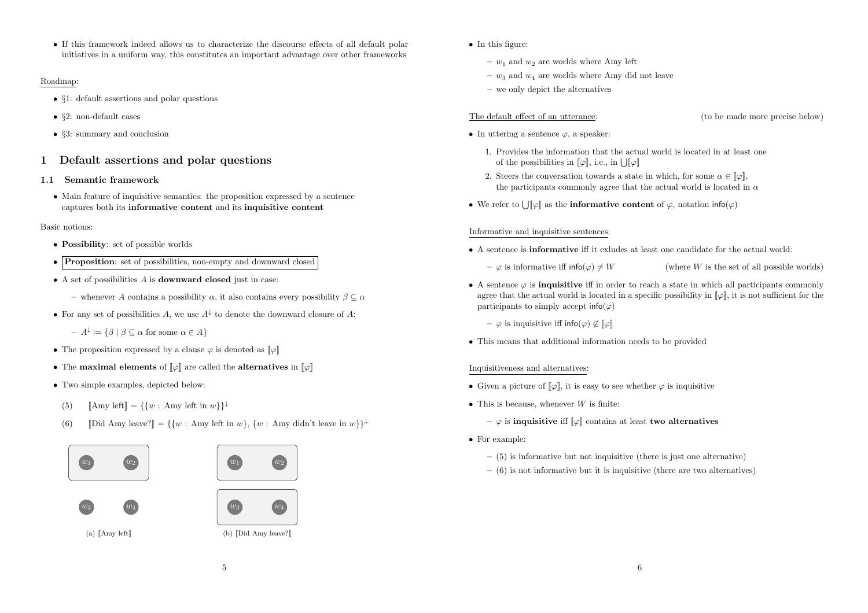• If this framework indeed allows us to characterize the discourse effects of all default polar initiatives in a uniform way, this constitutes an important advantage over other frameworks

# Roadmap:

- *• §*1: default assertions and polar questions
- *• §*2: non-default cases
- *• §*3: summary and conclusion

# 1 Default assertions and polar questions

# 1.1 Semantic framework

• Main feature of inquisitive semantics: the proposition expressed by a sentence captures both its informative content and its inquisitive content

# Basic notions:

- *•* Possibility: set of possible worlds
- **Proposition:** set of possibilities, non-empty and downward closed
- *•* A set of possibilities *A* is downward closed just in case:
	- whenever *A* contains a possibility  $\alpha$ , it also contains every possibility  $\beta \subset \alpha$
- *•* For any set of possibilities *A*, we use *A*<sup>↓</sup> to denote the downward closure of *A*:

 $A^{\downarrow} := {\{\beta \mid \beta \subseteq \alpha \text{ for some } \alpha \in A\}}$ 

- The proposition expressed by a clause  $\varphi$  is denoted as  $\llbracket \varphi \rrbracket$
- The maximal elements of  $\llbracket \varphi \rrbracket$  are called the alternatives in  $\llbracket \varphi \rrbracket$
- *•* Two simple examples, depicted below:
- (5)  $[\text{Amy left}] = \{\{w : \text{Amy left in } w\}\}$
- (6)  $\text{[Did Amy leave?]} = \{ \{w : \text{ Amy left in } w \}, \{w : \text{ Amy didn't leave in } w \} \}$





(a) [[Amy left]]





(b) [[Did Amy leave?]]



- $w_1$  and  $w_2$  are worlds where Amy left
- $w_3$  and  $w_4$  are worlds where Amy did not leave
- we only depict the alternatives

# The default effect of an utterance: (to be made more precise below)

- *•* In uttering a sentence ϕ, a speaker:
	- 1. Provides the information that the actual world is located in at least one of the possibilities in  $[\![\varphi]\!]$ , i.e., in  $[\![\,]\!] \varphi \!]$
	- 2. Steers the conversation towards a state in which, for some  $\alpha \in [\![\varphi]\!]$ , the participants commonly agree that the actual world is located in  $\alpha$
- We refer to  $\bigcup [\varphi]$  as the **informative content** of  $\varphi$ , notation info( $\varphi$ )

# Informative and inquisitive sentences:

- A sentence is **informative** iff it exludes at least one candidate for the actual world:
	-

 $-\varphi$  is informative iff info( $\varphi$ )  $\neq$  *W* (where *W* is the set of all possible worlds)

- A sentence  $\varphi$  is **inquisitive** iff in order to reach a state in which all participants commonly agree that the actual world is located in a specific possibility in  $[\varphi]$ , it is not sufficient for the participants to simply accept  $info(\varphi)$ 
	- $-$  φ is inquisitive iff info(φ) ∉ [| $\varphi$ ]
- This means that additional information needs to be provided

# Inquisitiveness and alternatives:

- Given a picture of  $\llbracket \varphi \rrbracket$ , it is easy to see whether  $\varphi$  is inquisitive
- *•* This is because, whenever *W* is finite:
	- $\varphi$  is inquisitive iff  $\llbracket \varphi \rrbracket$  contains at least two alternatives
- *•* For example:
	- $-$  (5) is informative but not inquisitive (there is just one alternative)
	- $-$  (6) is not informative but it is inquisitive (there are two alternatives)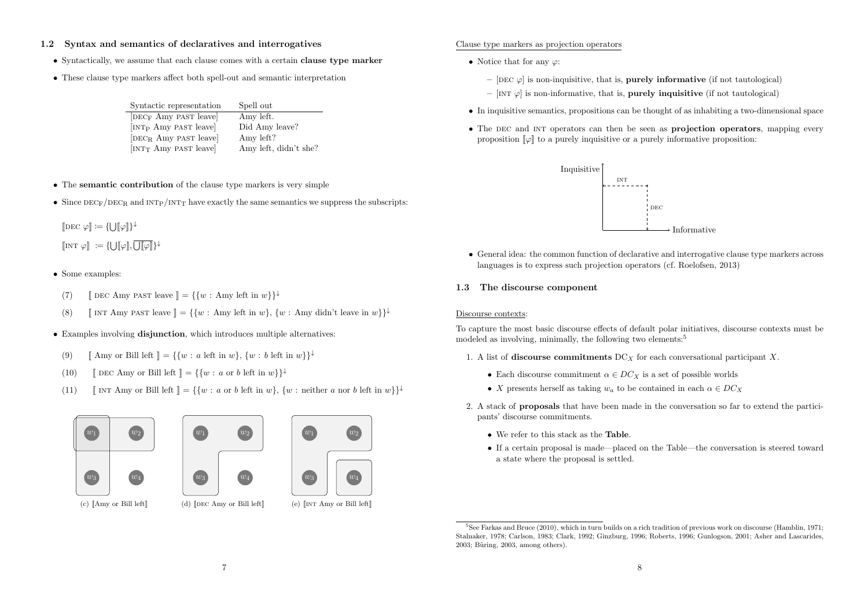# 1.2 Syntax and semantics of declaratives and interrogatives

- Syntactically, we assume that each clause comes with a certain **clause type marker**
- *•* These clause type markers affect both spell-out and semantic interpretation

| Syntactic representation          | Spell out             |
|-----------------------------------|-----------------------|
| DEC <sub>F</sub> Amy PAST leave   | Amy left.             |
| [INT <sub>P</sub> Amy PAST leave] | Did Amy leave?        |
| $[DECR$ Amy past leave            | Amy left?             |
| [INT <sub>T</sub> Amy PAST leave] | Amy left, didn't she? |

- *•* The semantic contribution of the clause type markers is very simple
- Since  $DEC_F/DEC_R$  and  $INT_P/INT_T$  have exactly the same semantics we suppress the subscripts:

$$
[\![{\rm DEC} \: \varphi ]\!] \coloneqq \{\bigcup [\![\varphi ]\!] \}^{\downarrow}
$$

 $[\![\text{int } \varphi]\!] := {\text{tr}} [\varphi], \overline{\bigcup [\![\varphi]\!]}{\text{tr}}$ 

- *•* Some examples:
- (7) **[**[ DEC Amy PAST leave  $\mathbb{I} = \{ \{w : \text{ Amy left in } w \} \}$
- (8)  $\left[\right]$  INT Amy past leave  $\left]\right] = \{ \{w : \text{Any left in } w \}, \{w : \text{ Amy didn't leave in } w \} \}$
- *•* Examples involving disjunction, which introduces multiple alternatives:
- (9)  $[\text{Amy or Bill left}] = \{\{w : a \text{ left in } w\}, \{w : b \text{ left in } w\}\}^{\downarrow}$
- (10) **[DEC Amy or Bill left**  $] = \{ \{w : a \text{ or } b \text{ left in } w \} \}$
- (11)  $\left[\right]$  INT Amy or Bill left  $\right] = \{ \{w : a \text{ or } b \text{ left in } w \}, \{w : \text{ neither } a \text{ nor } b \text{ left in } w \} \}$







#### $(c)$  [Amy or Bill left]

(d)  $[DEC \, Amy \, or \, Bill \, left]$ 

## Clause type markers as projection operators

- *•* Notice that for any ϕ:
	- [DEC  $\varphi$ ] is non-inquisitive, that is, **purely informative** (if not tautological)
	- [INT  $\varphi$ ] is non-informative, that is, **purely inquisitive** (if not tautological)
- In inquisitive semantics, propositions can be thought of as inhabiting a two-dimensional space
- The DEC and INT operators can then be seen as **projection operators**, mapping every proposition  $\llbracket \varphi \rrbracket$  to a purely inquisitive or a purely informative proposition:



• General idea: the common function of declarative and interrogative clause type markers across languages is to express such projection operators (cf. Roelofsen, 2013)

## 1.3 The discourse component

# Discourse contexts:

To capture the most basic discourse effects of default polar initiatives, discourse contexts must be modeled as involving, minimally, the following two elements:<sup>5</sup>

- 1. A list of discourse commitments DC*<sup>X</sup>* for each conversational participant *X*.
	- Each discourse commitment  $\alpha \in DC_X$  is a set of possible worlds
	- *X* presents herself as taking  $w_a$  to be contained in each  $\alpha \in DC_X$
- 2. A stack of proposals that have been made in the conversation so far to extend the participants' discourse commitments.
	- *•* We refer to this stack as the Table.
	- *•* If a certain proposal is made—placed on the Table—the conversation is steered toward a state where the proposal is settled.

<sup>5</sup>See Farkas and Bruce (2010), which in turn builds on a rich tradition of previous work on discourse (Hamblin, 1971; Stalnaker, 1978; Carlson, 1983; Clark, 1992; Ginzburg, 1996; Roberts, 1996; Gunlogson, 2001; Asher and Lascarides,  $2003$ : Büring,  $2003$ , among others).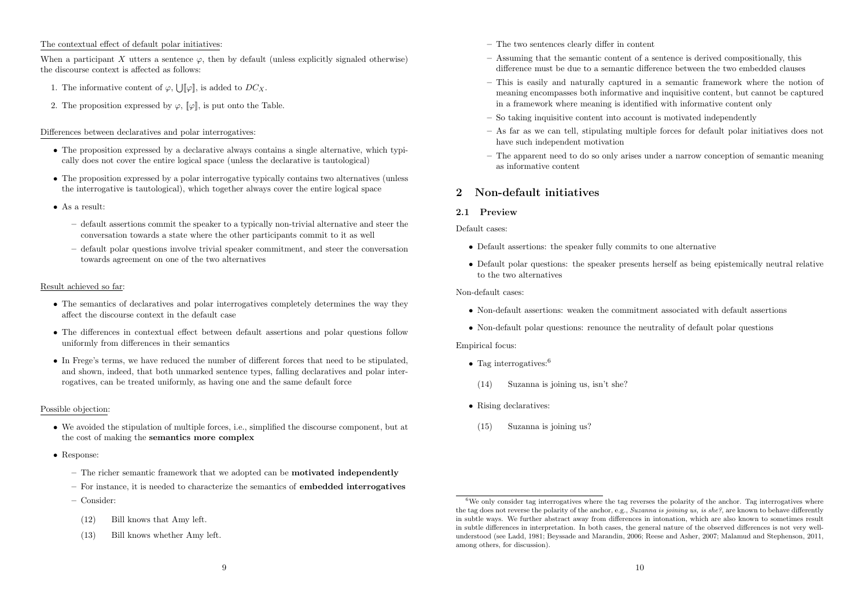## The contextual effect of default polar initiatives:

When a participant  $X$  utters a sentence  $\varphi$ , then by default (unless explicitly signaled otherwise) the discourse context is affected as follows:

- 1. The informative content of  $\varphi$ ,  $\bigcup [\varphi]$ , is added to  $DC_X$ .
- 2. The proposition expressed by  $\varphi$ ,  $[\varphi]$ , is put onto the Table.

#### Differences between declaratives and polar interrogatives:

- The proposition expressed by a declarative always contains a single alternative, which typically does not cover the entire logical space (unless the declarative is tautological)
- The proposition expressed by a polar interrogative typically contains two alternatives (unless the interrogative is tautological), which together always cover the entire logical space
- *•* As a result:
	- default assertions commit the speaker to a typically non-trivial alternative and steer the conversation towards a state where the other participants commit to it as well
	- default polar questions involve trivial speaker commitment, and steer the conversation towards agreement on one of the two alternatives

#### Result achieved so far:

- The semantics of declaratives and polar interrogatives completely determines the way they affect the discourse context in the default case
- The differences in contextual effect between default assertions and polar questions follow uniformly from differences in their semantics
- In Frege's terms, we have reduced the number of different forces that need to be stipulated. and shown, indeed, that both unmarked sentence types, falling declaratives and polar interrogatives, can be treated uniformly, as having one and the same default force

#### Possible objection:

- We avoided the stipulation of multiple forces, i.e., simplified the discourse component, but at the cost of making the semantics more complex
- *•* Response:
	- The richer semantic framework that we adopted can be motivated independently
	- $-$  For instance, it is needed to characterize the semantics of **embedded interrogatives**
	- Consider:
		- (12) Bill knows that Amy left.
		- (13) Bill knows whether Amy left.
- The two sentences clearly differ in content
- Assuming that the semantic content of a sentence is derived compositionally, this difference must be due to a semantic difference between the two embedded clauses
- $-$  This is easily and naturally captured in a semantic framework where the notion of meaning encompasses both informative and inquisitive content, but cannot be captured in a framework where meaning is identified with informative content only
- So taking inquisitive content into account is motivated independently
- As far as we can tell, stipulating multiple forces for default polar initiatives does not have such independent motivation
- The apparent need to do so only arises under a narrow conception of semantic meaning as informative content

# 2 Non-default initiatives

## 2.1 Preview

Default cases:

- *•* Default assertions: the speaker fully commits to one alternative
- Default polar questions: the speaker presents herself as being epistemically neutral relative to the two alternatives

#### Non-default cases:

- Non-default assertions: weaken the commitment associated with default assertions
- Non-default polar questions: renounce the neutrality of default polar questions

#### Empirical focus:

- Tag interrogatives:<sup>6</sup>
- (14) Suzanna is joining us, isn't she?
- *•* Rising declaratives:
- (15) Suzanna is joining us?

 $6$ We only consider tag interrogatives where the tag reverses the polarity of the anchor. Tag interrogatives where the tag does not reverse the polarity of the anchor, e.g., *Suzanna is joining us, is she?*, are known to behave differently in subtle ways. We further abstract away from differences in intonation, which are also known to sometimes result in subtle differences in interpretation. In both cases, the general nature of the observed differences is not very wellunderstood (see Ladd, 1981; Beyssade and Marandin, 2006; Reese and Asher, 2007; Malamud and Stephenson, 2011, among others, for discussion).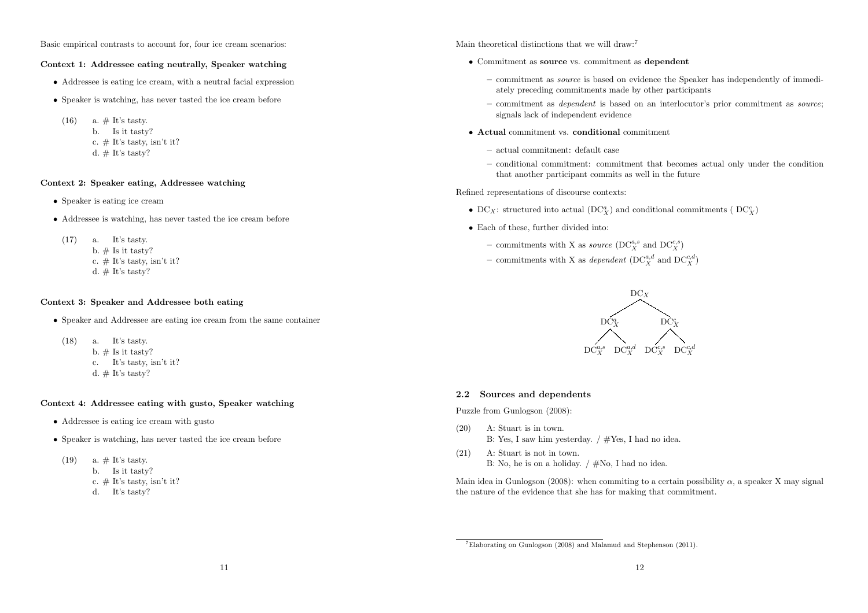Basic empirical contrasts to account for, four ice cream scenarios:

#### Context 1: Addressee eating neutrally, Speaker watching

- *•* Addressee is eating ice cream, with a neutral facial expression
- Speaker is watching, has never tasted the ice cream before
- $(16)$  a.  $\#$  It's tasty. b. Is it tasty? c.  $\#$  It's tasty, isn't it? d.  $#$  It's tasty?

# Context 2: Speaker eating, Addressee watching

- Speaker is eating ice cream
- Addressee is watching, has never tasted the ice cream before
- (17) a. It's tasty. b.  $\#$  Is it tasty? c.  $\#$  It's tasty, isn't it? d.  $#$  It's tasty?

#### Context 3: Speaker and Addressee both eating

- *•* Speaker and Addressee are eating ice cream from the same container
- (18) a. It's tasty. b.  $\#$  Is it tasty? c. It's tasty, isn't it? d.  $#$  It's tasty?

#### Context 4: Addressee eating with gusto, Speaker watching

- Addressee is eating ice cream with gusto
- Speaker is watching, has never tasted the ice cream before
- (19) a.  $\#$  It's tasty.
	- b. Is it tasty?
	- c.  $\#$  It's tasty, isn't it?
	- d. It's tasty?

Main theoretical distinctions that we will draw:<sup>7</sup>

- *•* Commitment as source vs. commitment as dependent
	- commitment as *source* is based on evidence the Speaker has independently of immediately preceding commitments made by other participants
	- commitment as *dependent* is based on an interlocutor's prior commitment as *source*; signals lack of independent evidence
- *•* Actual commitment vs. conditional commitment
	- actual commitment: default case
	- conditional commitment: commitment that becomes actual only under the condition that another participant commits as well in the future

Refined representations of discourse contexts:

- $\bullet$   $\text{DC}_X$ : structured into actual  $(\text{DC}^a_X)$  and conditional commitments (  $\text{DC}^c_X)$
- *•* Each of these, further divided into:
	- commitments with X as *source* ( $DC_X^{a,s}$  and  $DC_X^{c,s}$ )
	- commitments with X as *dependent* ( $DC_X^{a,d}$  and  $DC_X^{c,d}$ )



#### 2.2 Sources and dependents

Puzzle from Gunlogson (2008):

- (20) A: Stuart is in town. B: Yes, I saw him yesterday. / #Yes, I had no idea.
- (21) A: Stuart is not in town. B: No, he is on a holiday. / #No, I had no idea.

Main idea in Gunlogson (2008): when commiting to a certain possibility  $\alpha$ , a speaker X may signal the nature of the evidence that she has for making that commitment.

<sup>7</sup>Elaborating on Gunlogson (2008) and Malamud and Stephenson (2011).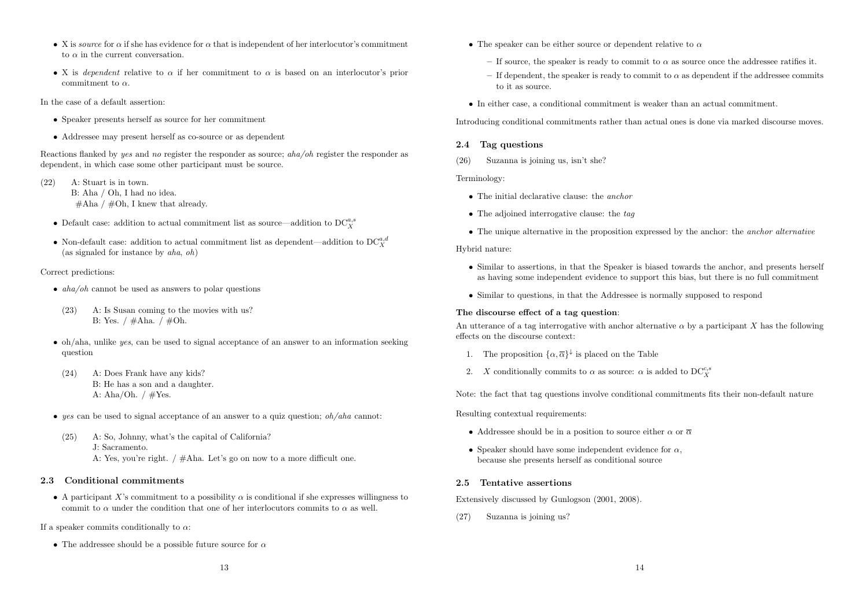- X is *source* for  $\alpha$  if she has evidence for  $\alpha$  that is independent of her interlocutor's commitment to  $\alpha$  in the current conversation.
- X is *dependent* relative to  $\alpha$  if her commitment to  $\alpha$  is based on an interlocutor's prior commitment to  $\alpha$ .

In the case of a default assertion:

- *•* Speaker presents herself as source for her commitment
- Addressee may present herself as co-source or as dependent

Reactions flanked by *yes* and *no* register the responder as source; *aha/oh* register the responder as dependent, in which case some other participant must be source.

- (22) A: Stuart is in town. B: Aha / Oh, I had no idea.  $\#\text{Aha} / \#\text{Oh}, \text{I knew that already.}$ 
	- $\bullet$  Default case: addition to actual commitment list as source—addition to  $\text{DC}_X^{a,s}$
	- Non-default case: addition to actual commitment list as dependent—addition to  $DC_X^{a,d}$ (as signaled for instance by *aha*, *oh*)

# Correct predictions:

- *• aha/oh* cannot be used as answers to polar questions
- (23) A: Is Susan coming to the movies with us? B: Yes. / #Aha. / #Oh.
- oh/aha, unlike *yes*, can be used to signal acceptance of an answer to an information seeking question
- (24) A: Does Frank have any kids? B: He has a son and a daughter. A: Aha/Oh.  $/ \#Yes.$
- *• yes* can be used to signal acceptance of an answer to a quiz question; *oh/aha* cannot:
- (25) A: So, Johnny, what's the capital of California? J: Sacramento. A: Yes, you're right. / #Aha. Let's go on now to a more difficult one.

# 2.3 Conditional commitments

• A participant *X*'s commitment to a possibility  $\alpha$  is conditional if she expresses willingness to commit to  $\alpha$  under the condition that one of her interlocutors commits to  $\alpha$  as well.

If a speaker commits conditionally to  $\alpha$ :

• The addressee should be a possible future source for  $\alpha$ 

- The speaker can be either source or dependent relative to  $\alpha$ 
	- If source, the speaker is ready to commit to  $\alpha$  as source once the addressee ratifies it.
	- If dependent, the speaker is ready to commit to  $\alpha$  as dependent if the addressee commits to it as source.
- *•* In either case, a conditional commitment is weaker than an actual commitment.

Introducing conditional commitments rather than actual ones is done via marked discourse moves.

# 2.4 Tag questions

(26) Suzanna is joining us, isn't she?

Terminology:

- *•* The initial declarative clause: the *anchor*
- *•* The adjoined interrogative clause: the *tag*
- The unique alternative in the proposition expressed by the anchor: the *anchor alternative*

#### Hybrid nature:

- *•* Similar to assertions, in that the Speaker is biased towards the anchor, and presents herself as having some independent evidence to support this bias, but there is no full commitment
- Similar to questions, in that the Addressee is normally supposed to respond

# The discourse effect of a tag question:

An utterance of a tag interrogative with anchor alternative  $\alpha$  by a participant *X* has the following effects on the discourse context:

- 1. The proposition  $\{\alpha,\overline{\alpha}\}^{\downarrow}$  is placed on the Table
- 2. *X* conditionally commits to  $\alpha$  as source:  $\alpha$  is added to  $DC_X^{c,s}$

Note: the fact that tag questions involve conditional commitments fits their non-default nature

Resulting contextual requirements:

- Addressee should be in a position to source either  $\alpha$  or  $\overline{\alpha}$
- Speaker should have some independent evidence for  $\alpha$ , because she presents herself as conditional source

# 2.5 Tentative assertions

Extensively discussed by Gunlogson (2001, 2008).

(27) Suzanna is joining us?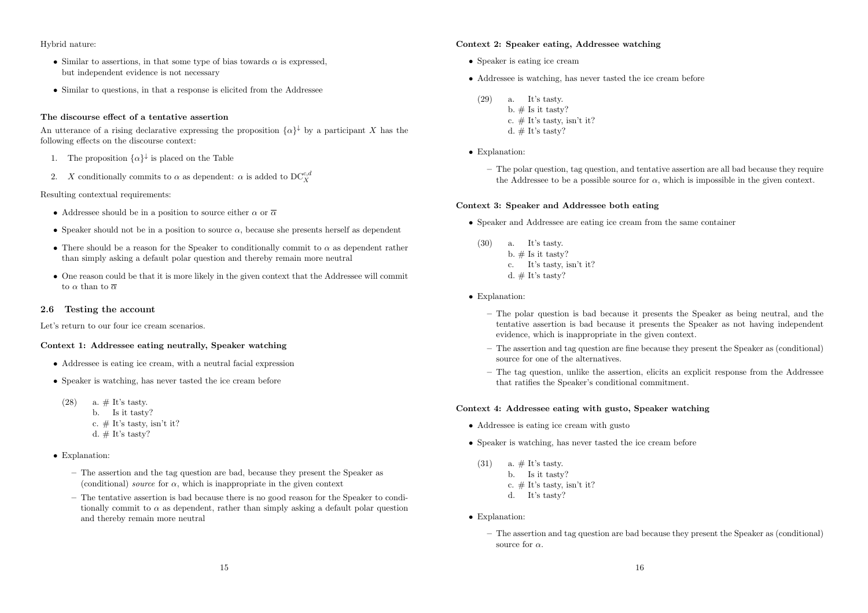#### Hybrid nature:

- Similar to assertions, in that some type of bias towards  $\alpha$  is expressed. but independent evidence is not necessary
- Similar to questions, in that a response is elicited from the Addressee

#### The discourse effect of a tentative assertion

An utterance of a rising declarative expressing the proposition  $\{\alpha\}^{\downarrow}$  by a participant *X* has the following effects on the discourse context:

- 1. The proposition  $\{\alpha\}^{\downarrow}$  is placed on the Table
- 2. *X* conditionally commits to  $\alpha$  as dependent:  $\alpha$  is added to  $DC_X^{c,d}$

Resulting contextual requirements:

- Addressee should be in a position to source either  $\alpha$  or  $\overline{\alpha}$
- Speaker should not be in a position to source  $\alpha$ , because she presents herself as dependent
- There should be a reason for the Speaker to conditionally commit to  $\alpha$  as dependent rather than simply asking a default polar question and thereby remain more neutral
- One reason could be that it is more likely in the given context that the Addressee will commit to  $\alpha$  than to  $\overline{\alpha}$

#### 2.6 Testing the account

Let's return to our four ice cream scenarios.

## Context 1: Addressee eating neutrally, Speaker watching

- *•* Addressee is eating ice cream, with a neutral facial expression
- *•* Speaker is watching, has never tasted the ice cream before
- $(28)$  a.  $\#$  It's tasty. b. Is it tasty? c.  $\#$  It's tasty, isn't it? d.  $#$  It's tasty?
- *•* Explanation:
	- The assertion and the tag question are bad, because they present the Speaker as (conditional) *source* for  $\alpha$ , which is inappropriate in the given context
	- The tentative assertion is bad because there is no good reason for the Speaker to conditionally commit to  $\alpha$  as dependent, rather than simply asking a default polar question and thereby remain more neutral

#### Context 2: Speaker eating, Addressee watching

- *•* Speaker is eating ice cream
- *•* Addressee is watching, has never tasted the ice cream before
- (29) a. It's tasty. b.  $\#$  Is it tasty? c.  $\#$  It's tasty, isn't it? d.  $#$  It's tasty?
- *•* Explanation:
	- The polar question, tag question, and tentative assertion are all bad because they require the Addressee to be a possible source for  $\alpha$ , which is impossible in the given context.

#### Context 3: Speaker and Addressee both eating

- *•* Speaker and Addressee are eating ice cream from the same container
- (30) a. It's tasty. b.  $\#$  Is it tasty? c. It's tasty, isn't it? d.  $#$  It's tasty?
- *•* Explanation:
	- The polar question is bad because it presents the Speaker as being neutral, and the tentative assertion is bad because it presents the Speaker as not having independent evidence, which is inappropriate in the given context.
	- The assertion and tag question are fine because they present the Speaker as (conditional) source for one of the alternatives.
	- The tag question, unlike the assertion, elicits an explicit response from the Addressee that ratifies the Speaker's conditional commitment.

#### Context 4: Addressee eating with gusto, Speaker watching

- Addressee is eating ice cream with gusto
- Speaker is watching, has never tasted the ice cream before
- $(31)$  a.  $\#$  It's tasty. b. Is it tasty? c.  $\#$  It's tasty, isn't it? d. It's tasty?
- *•* Explanation:
	- The assertion and tag question are bad because they present the Speaker as (conditional) source for  $\alpha$ .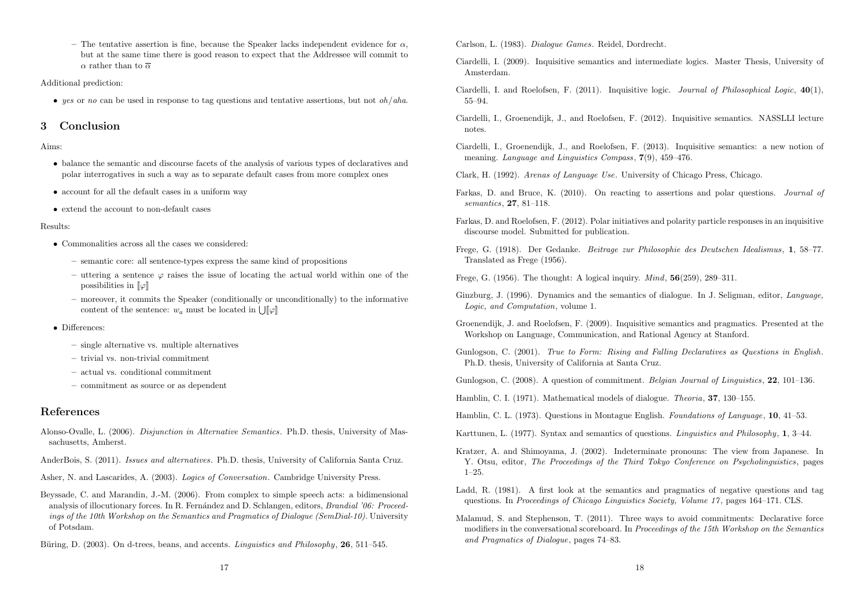– The tentative assertion is fine, because the Speaker lacks independent evidence for  $\alpha$ , but at the same time there is good reason to expect that the Addressee will commit to  $\alpha$  rather than to  $\overline{\alpha}$ 

Additional prediction:

*• yes* or *no* can be used in response to tag questions and tentative assertions, but not *oh*/*aha*.

# 3 Conclusion

Aims:

- balance the semantic and discourse facets of the analysis of various types of declaratives and polar interrogatives in such a way as to separate default cases from more complex ones
- account for all the default cases in a uniform way
- *•* extend the account to non-default cases

Results:

- *•* Commonalities across all the cases we considered:
	- semantic core: all sentence-types express the same kind of propositions
	- uttering a sentence  $\varphi$  raises the issue of locating the actual world within one of the possibilities in  $\llbracket \varphi \rrbracket$
	- moreover, it commits the Speaker (conditionally or unconditionally) to the informative content of the sentence:  $w_a$  must be located in  $\iiint \varphi$ ]
- *•* Differences:
	- single alternative vs. multiple alternatives
	- trivial vs. non-trivial commitment
	- actual vs. conditional commitment
	- commitment as source or as dependent

# References

- Alonso-Ovalle, L. (2006). *Disjunction in Alternative Semantics*. Ph.D. thesis, University of Massachusetts, Amherst.
- AnderBois, S. (2011). *Issues and alternatives*. Ph.D. thesis, University of California Santa Cruz.
- Asher, N. and Lascarides, A. (2003). *Logics of Conversation*. Cambridge University Press.
- Beyssade, C. and Marandin, J.-M. (2006). From complex to simple speech acts: a bidimensional analysis of illocutionary forces. In R. Fernández and D. Schlangen, editors, *Brandial '06: Proceedings of the 10th Workshop on the Semantics and Pragmatics of Dialogue (SemDial-10)*. University of Potsdam.
- Büring, D. (2003). On d-trees, beans, and accents. *Linguistics and Philosophy*, **26**, 511–545.

Carlson, L. (1983). *Dialogue Games*. Reidel, Dordrecht.

- Ciardelli, I. (2009). Inquisitive semantics and intermediate logics. Master Thesis, University of Amsterdam.
- Ciardelli, I. and Roelofsen, F. (2011). Inquisitive logic. *Journal of Philosophical Logic*, 40(1), 55–94.
- Ciardelli, I., Groenendijk, J., and Roelofsen, F. (2012). Inquisitive semantics. NASSLLI lecture notes.
- Ciardelli, I., Groenendijk, J., and Roelofsen, F. (2013). Inquisitive semantics: a new notion of meaning. *Language and Linguistics Compass*, 7(9), 459–476.
- Clark, H. (1992). *Arenas of Language Use*. University of Chicago Press, Chicago.
- Farkas, D. and Bruce, K. (2010). On reacting to assertions and polar questions. *Journal of semantics*, 27, 81–118.
- Farkas, D. and Roelofsen, F. (2012). Polar initiatives and polarity particle responses in an inquisitive discourse model. Submitted for publication.
- Frege, G. (1918). Der Gedanke. *Beitrage zur Philosophie des Deutschen Idealismus*, 1, 58–77. Translated as Frege (1956).
- Frege, G. (1956). The thought: A logical inquiry. *Mind*, 56(259), 289–311.
- Ginzburg, J. (1996). Dynamics and the semantics of dialogue. In J. Seligman, editor, *Language, Logic, and Computation*, volume 1.
- Groenendijk, J. and Roelofsen, F. (2009). Inquisitive semantics and pragmatics. Presented at the Workshop on Language, Communication, and Rational Agency at Stanford.
- Gunlogson, C. (2001). *True to Form: Rising and Falling Declaratives as Questions in English*. Ph.D. thesis, University of California at Santa Cruz.

Gunlogson, C. (2008). A question of commitment. *Belgian Journal of Linguistics*, 22, 101–136.

Hamblin, C. I. (1971). Mathematical models of dialogue. *Theoria*, 37, 130–155.

- Hamblin, C. L. (1973). Questions in Montague English. *Foundations of Language*, 10, 41–53.
- Karttunen, L. (1977). Syntax and semantics of questions. *Linguistics and Philosophy*, 1, 3–44.
- Kratzer, A. and Shimoyama, J. (2002). Indeterminate pronouns: The view from Japanese. In Y. Otsu, editor, *The Proceedings of the Third Tokyo Conference on Psycholinguistics*, pages 1–25.
- Ladd, R. (1981). A first look at the semantics and pragmatics of negative questions and tag questions. In *Proceedings of Chicago Linguistics Society, Volume 17* , pages 164–171. CLS.
- Malamud, S. and Stephenson, T. (2011). Three ways to avoid commitments: Declarative force modifiers in the conversational scoreboard. In *Proceedings of the 15th Workshop on the Semantics and Pragmatics of Dialogue*, pages 74–83.